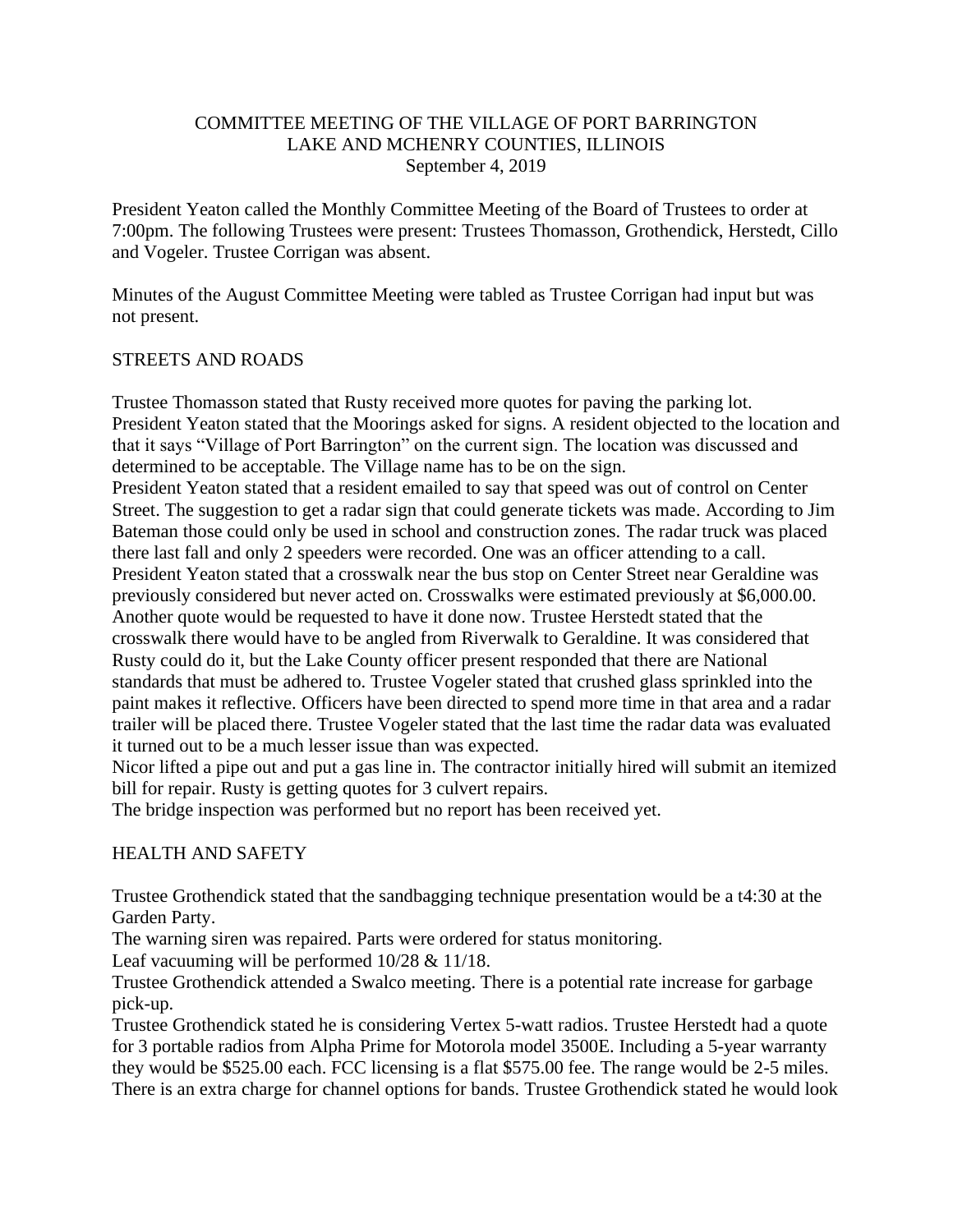### COMMITTEE MEETING OF THE VILLAGE OF PORT BARRINGTON LAKE AND MCHENRY COUNTIES, ILLINOIS September 4, 2019

President Yeaton called the Monthly Committee Meeting of the Board of Trustees to order at 7:00pm. The following Trustees were present: Trustees Thomasson, Grothendick, Herstedt, Cillo and Vogeler. Trustee Corrigan was absent.

Minutes of the August Committee Meeting were tabled as Trustee Corrigan had input but was not present.

#### STREETS AND ROADS

Trustee Thomasson stated that Rusty received more quotes for paving the parking lot. President Yeaton stated that the Moorings asked for signs. A resident objected to the location and that it says "Village of Port Barrington" on the current sign. The location was discussed and determined to be acceptable. The Village name has to be on the sign.

President Yeaton stated that a resident emailed to say that speed was out of control on Center Street. The suggestion to get a radar sign that could generate tickets was made. According to Jim Bateman those could only be used in school and construction zones. The radar truck was placed there last fall and only 2 speeders were recorded. One was an officer attending to a call. President Yeaton stated that a crosswalk near the bus stop on Center Street near Geraldine was previously considered but never acted on. Crosswalks were estimated previously at \$6,000.00. Another quote would be requested to have it done now. Trustee Herstedt stated that the crosswalk there would have to be angled from Riverwalk to Geraldine. It was considered that Rusty could do it, but the Lake County officer present responded that there are National standards that must be adhered to. Trustee Vogeler stated that crushed glass sprinkled into the paint makes it reflective. Officers have been directed to spend more time in that area and a radar trailer will be placed there. Trustee Vogeler stated that the last time the radar data was evaluated it turned out to be a much lesser issue than was expected.

Nicor lifted a pipe out and put a gas line in. The contractor initially hired will submit an itemized bill for repair. Rusty is getting quotes for 3 culvert repairs.

The bridge inspection was performed but no report has been received yet.

#### HEALTH AND SAFETY

Trustee Grothendick stated that the sandbagging technique presentation would be a t4:30 at the Garden Party.

The warning siren was repaired. Parts were ordered for status monitoring.

Leaf vacuuming will be performed 10/28 & 11/18.

Trustee Grothendick attended a Swalco meeting. There is a potential rate increase for garbage pick-up.

Trustee Grothendick stated he is considering Vertex 5-watt radios. Trustee Herstedt had a quote for 3 portable radios from Alpha Prime for Motorola model 3500E. Including a 5-year warranty they would be \$525.00 each. FCC licensing is a flat \$575.00 fee. The range would be 2-5 miles. There is an extra charge for channel options for bands. Trustee Grothendick stated he would look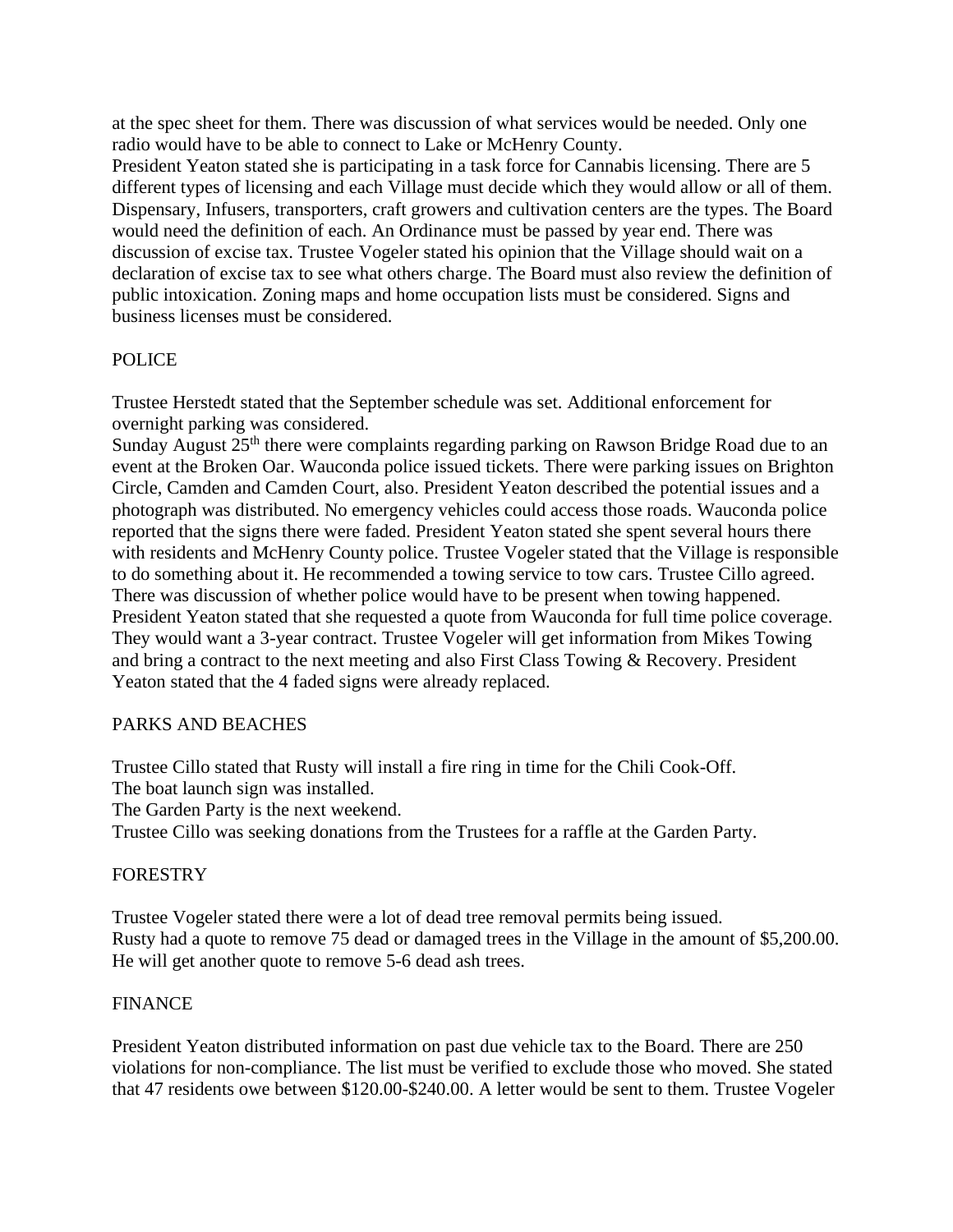at the spec sheet for them. There was discussion of what services would be needed. Only one radio would have to be able to connect to Lake or McHenry County.

President Yeaton stated she is participating in a task force for Cannabis licensing. There are 5 different types of licensing and each Village must decide which they would allow or all of them. Dispensary, Infusers, transporters, craft growers and cultivation centers are the types. The Board would need the definition of each. An Ordinance must be passed by year end. There was discussion of excise tax. Trustee Vogeler stated his opinion that the Village should wait on a declaration of excise tax to see what others charge. The Board must also review the definition of public intoxication. Zoning maps and home occupation lists must be considered. Signs and business licenses must be considered.

# POLICE

Trustee Herstedt stated that the September schedule was set. Additional enforcement for overnight parking was considered.

Sunday August  $25<sup>th</sup>$  there were complaints regarding parking on Rawson Bridge Road due to an event at the Broken Oar. Wauconda police issued tickets. There were parking issues on Brighton Circle, Camden and Camden Court, also. President Yeaton described the potential issues and a photograph was distributed. No emergency vehicles could access those roads. Wauconda police reported that the signs there were faded. President Yeaton stated she spent several hours there with residents and McHenry County police. Trustee Vogeler stated that the Village is responsible to do something about it. He recommended a towing service to tow cars. Trustee Cillo agreed. There was discussion of whether police would have to be present when towing happened. President Yeaton stated that she requested a quote from Wauconda for full time police coverage. They would want a 3-year contract. Trustee Vogeler will get information from Mikes Towing and bring a contract to the next meeting and also First Class Towing & Recovery. President Yeaton stated that the 4 faded signs were already replaced.

# PARKS AND BEACHES

Trustee Cillo stated that Rusty will install a fire ring in time for the Chili Cook-Off. The boat launch sign was installed.

The Garden Party is the next weekend.

Trustee Cillo was seeking donations from the Trustees for a raffle at the Garden Party.

#### FORESTRY

Trustee Vogeler stated there were a lot of dead tree removal permits being issued. Rusty had a quote to remove 75 dead or damaged trees in the Village in the amount of \$5,200.00. He will get another quote to remove 5-6 dead ash trees.

#### FINANCE

President Yeaton distributed information on past due vehicle tax to the Board. There are 250 violations for non-compliance. The list must be verified to exclude those who moved. She stated that 47 residents owe between \$120.00-\$240.00. A letter would be sent to them. Trustee Vogeler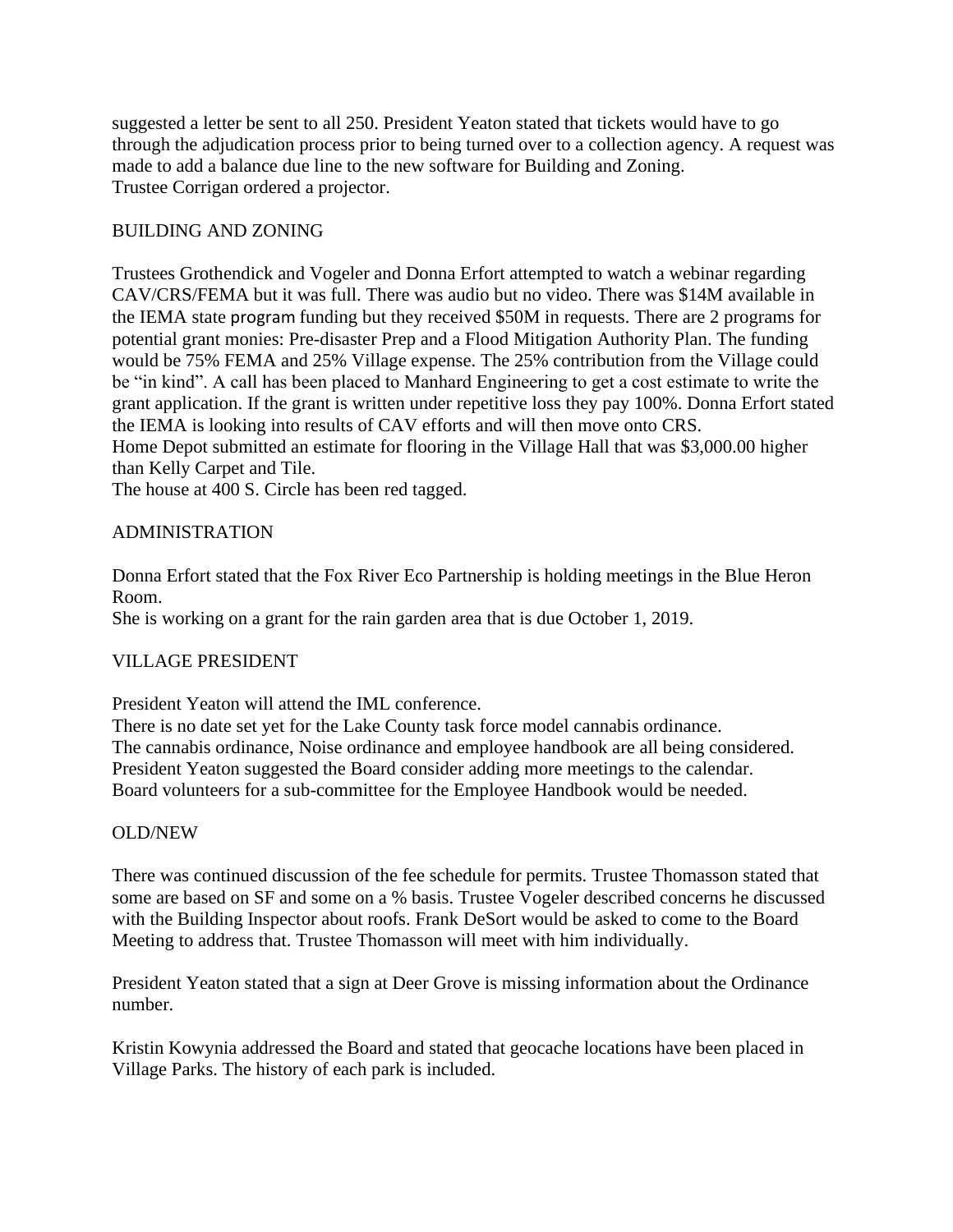suggested a letter be sent to all 250. President Yeaton stated that tickets would have to go through the adjudication process prior to being turned over to a collection agency. A request was made to add a balance due line to the new software for Building and Zoning. Trustee Corrigan ordered a projector.

## BUILDING AND ZONING

Trustees Grothendick and Vogeler and Donna Erfort attempted to watch a webinar regarding CAV/CRS/FEMA but it was full. There was audio but no video. There was \$14M available in the IEMA state program funding but they received \$50M in requests. There are 2 programs for potential grant monies: Pre-disaster Prep and a Flood Mitigation Authority Plan. The funding would be 75% FEMA and 25% Village expense. The 25% contribution from the Village could be "in kind". A call has been placed to Manhard Engineering to get a cost estimate to write the grant application. If the grant is written under repetitive loss they pay 100%. Donna Erfort stated the IEMA is looking into results of CAV efforts and will then move onto CRS. Home Depot submitted an estimate for flooring in the Village Hall that was \$3,000.00 higher than Kelly Carpet and Tile.

The house at 400 S. Circle has been red tagged.

### ADMINISTRATION

Donna Erfort stated that the Fox River Eco Partnership is holding meetings in the Blue Heron Room.

She is working on a grant for the rain garden area that is due October 1, 2019.

#### VILLAGE PRESIDENT

President Yeaton will attend the IML conference.

There is no date set yet for the Lake County task force model cannabis ordinance. The cannabis ordinance, Noise ordinance and employee handbook are all being considered. President Yeaton suggested the Board consider adding more meetings to the calendar. Board volunteers for a sub-committee for the Employee Handbook would be needed.

#### OLD/NEW

There was continued discussion of the fee schedule for permits. Trustee Thomasson stated that some are based on SF and some on a % basis. Trustee Vogeler described concerns he discussed with the Building Inspector about roofs. Frank DeSort would be asked to come to the Board Meeting to address that. Trustee Thomasson will meet with him individually.

President Yeaton stated that a sign at Deer Grove is missing information about the Ordinance number.

Kristin Kowynia addressed the Board and stated that geocache locations have been placed in Village Parks. The history of each park is included.